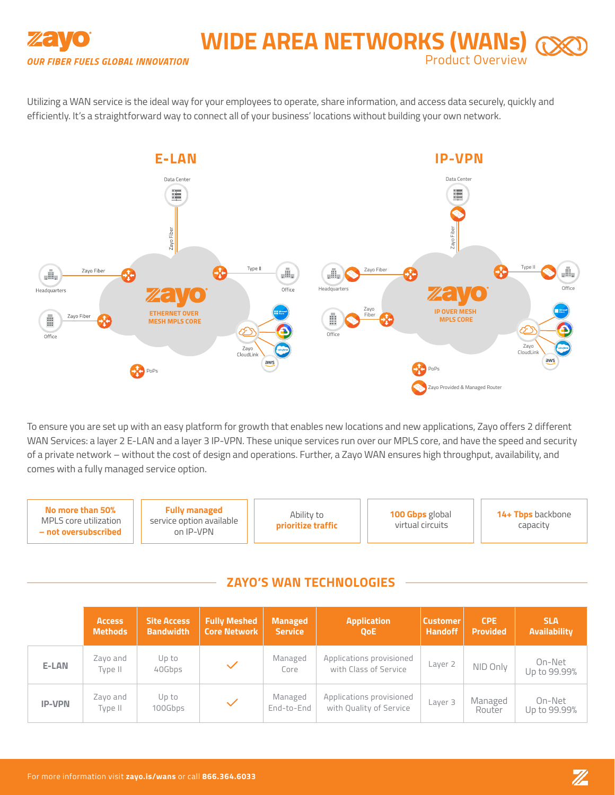

# **WIDE AREA NETWORKS (WANs)** Product Overview

Utilizing a WAN service is the ideal way for your employees to operate, share information, and access data securely, quickly and efficiently. It's a straightforward way to connect all of your business' locations without building your own network.



To ensure you are set up with an easy platform for growth that enables new locations and new applications, Zayo offers 2 different WAN Services: a layer 2 E-LAN and a layer 3 IP-VPN. These unique services run over our MPLS core, and have the speed and security of a private network – without the cost of design and operations. Further, a Zayo WAN ensures high throughput, availability, and comes with a fully managed service option.

**No more than 50%** MPLS core utilization **– not oversubscribed Fully managed**  service option available on IP-VPN **100 Gbps** global virtual circuits Ability to **prioritize traffic 14+ Tbps** backbone capacity

# **ZAYO'S WAN TECHNOLOGIES**

|               | <b>Access</b><br><b>Methods</b> | <b>Site Access</b><br><b>Bandwidth</b> | <b>Fully Meshed</b><br><b>Core Network</b> | <b>Managed</b><br><b>Service</b> | <b>Application</b><br><b>OoE</b>                    | <b>Customer</b><br><b>Handoff</b> | <b>CPE</b><br><b>Provided</b> | <b>SLA</b><br>Availability |
|---------------|---------------------------------|----------------------------------------|--------------------------------------------|----------------------------------|-----------------------------------------------------|-----------------------------------|-------------------------------|----------------------------|
| E-LAN         | Zayo and<br>Type II             | Up to<br>40Gbps                        |                                            | Managed<br>Core                  | Applications provisioned<br>with Class of Service   | Layer 2                           | NID Only                      | On-Net<br>Up to 99.99%     |
| <b>IP-VPN</b> | Zayo and<br>Type II             | Up to<br>100Gbps                       | $\checkmark$                               | Managed<br>End-to-End            | Applications provisioned<br>with Quality of Service | Layer 3                           | Managed<br>Router             | On-Net<br>Up to 99.99%     |